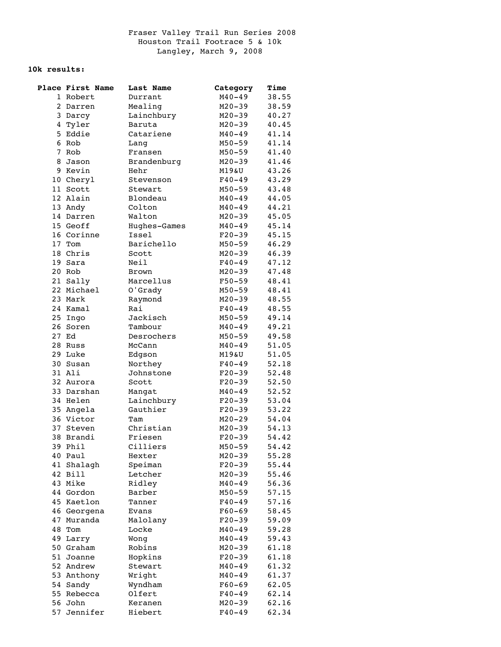## **10k results:**

| Place First Name | Last Name    | Category   | Time  |
|------------------|--------------|------------|-------|
| 1 Robert         | Durrant      | $M40 - 49$ | 38.55 |
| 2 Darren         | Mealing      | $M20 - 39$ | 38.59 |
| 3 Darcy          | Lainchbury   | $M20 - 39$ | 40.27 |
| 4 Tyler          | Baruta       | $M20 - 39$ | 40.45 |
| 5 Eddie          | Catariene    | $M40 - 49$ | 41.14 |
| 6 Rob            | Lang         | $M50 - 59$ | 41.14 |
| 7 Rob            | Fransen      | $M50 - 59$ | 41.40 |
| 8 Jason          | Brandenburg  | $M20 - 39$ | 41.46 |
| 9 Kevin          | Hehr         | M19&U      | 43.26 |
| 10 Cheryl        | Stevenson    | $F40 - 49$ | 43.29 |
| 11 Scott         | Stewart      | $M50 - 59$ | 43.48 |
| 12 Alain         | Blondeau     | $M40 - 49$ | 44.05 |
| 13 Andy          | Colton       | $M40 - 49$ | 44.21 |
| 14 Darren        | Walton       | $M20 - 39$ | 45.05 |
| 15 Geoff         | Hughes-Games | $M40 - 49$ | 45.14 |
| 16 Corinne       | Issel        | $F20-39$   | 45.15 |
| 17 Tom           | Barichello   | $M50 - 59$ | 46.29 |
| 18 Chris         | Scott        | $M20 - 39$ | 46.39 |
| 19 Sara          | Neil         | F40-49     | 47.12 |
| 20 Rob           | Brown        | $M20 - 39$ | 47.48 |
| 21 Sally         | Marcellus    | $F50 - 59$ | 48.41 |
| 22 Michael       | O'Grady      | $M50 - 59$ | 48.41 |
| 23 Mark          | Raymond      | $M20 - 39$ | 48.55 |
| 24 Kamal         | Rai          | $F40 - 49$ | 48.55 |
| 25 Ingo          | Jackisch     | $M50 - 59$ | 49.14 |
| 26 Soren         | Tambour      | $M40 - 49$ | 49.21 |
| 27 Ed            | Desrochers   | $M50 - 59$ | 49.58 |
| 28 Russ          | McCann       | $M40 - 49$ | 51.05 |
| 29 Luke          | Edgson       | M19&U      | 51.05 |
| 30 Susan         | Northey      | $F40 - 49$ | 52.18 |
| 31 Ali           | Johnstone    | $F20-39$   | 52.48 |
| 32 Aurora        | Scott        | $F20-39$   | 52.50 |
| 33 Darshan       | Mangat       | $M40 - 49$ | 52.52 |
| 34 Helen         | Lainchbury   | $F20-39$   | 53.04 |
| 35 Angela        | Gauthier     | $F20-39$   | 53.22 |
| 36 Victor        | Tam          | $M20 - 29$ | 54.04 |
| 37 Steven        | Christian    | $M20 - 39$ | 54.13 |
| 38 Brandi        | Friesen      | $F20-39$   | 54.42 |
| 39 Phil          | Cilliers     | $M50 - 59$ | 54.42 |
| 40 Paul          | Hexter       | $M20 - 39$ | 55.28 |
| 41 Shalagh       | Speiman      | $F20-39$   | 55.44 |
| 42 Bill          | Letcher      | $M20 - 39$ | 55.46 |
| 43 Mike          | Ridley       | $M40 - 49$ | 56.36 |
| 44 Gordon        | Barber       | $M50 - 59$ | 57.15 |
| 45 Kaetlon       | Tanner       | $F40 - 49$ | 57.16 |
| 46 Georgena      | Evans        | $F60 - 69$ | 58.45 |
| 47 Muranda       | Malolany     | $F20-39$   | 59.09 |
| 48 Tom           | Locke        | $M40 - 49$ | 59.28 |
| 49 Larry         | Wong         | $M40 - 49$ | 59.43 |
| 50 Graham        | Robins       | $M20 - 39$ | 61.18 |
| 51 Joanne        | Hopkins      | $F20-39$   | 61.18 |
| 52 Andrew        | Stewart      | $M40 - 49$ | 61.32 |
| 53 Anthony       | Wright       | $M40 - 49$ | 61.37 |
| 54 Sandy         | Wyndham      | $F60 - 69$ | 62.05 |
| 55 Rebecca       | Olfert       | $F40 - 49$ | 62.14 |
| 56 John          | Keranen      | $M20 - 39$ | 62.16 |
| 57 Jennifer      | Hiebert      | $F40 - 49$ | 62.34 |
|                  |              |            |       |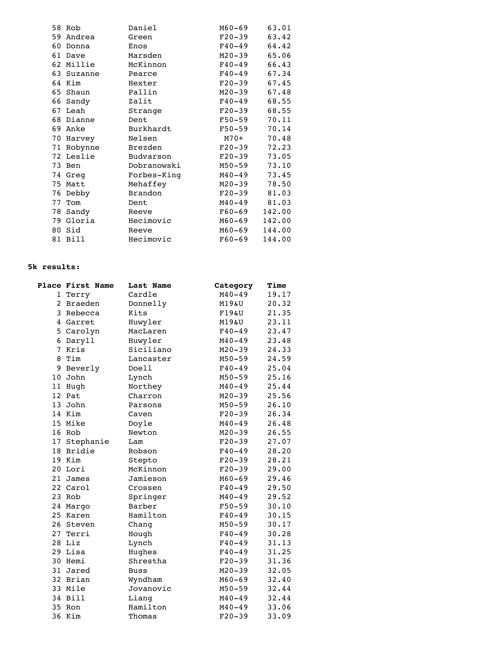|    | 58 Rob     | Daniel         | M60-69     | 63.01  |
|----|------------|----------------|------------|--------|
| 59 | Andrea     | Green          | $F20 - 39$ | 63.42  |
| 60 | Donna      | Enos           | $F40 - 49$ | 64.42  |
|    | 61 Dave    | Marsden        | $M20 - 39$ | 65.06  |
|    | 62 Millie  | McKinnon       | $F40 - 49$ | 66.43  |
|    | 63 Suzanne | Pearce         | $F40 - 49$ | 67.34  |
|    | 64 Kim     | Hexter         | $F20 - 39$ | 67.45  |
|    | 65 Shaun   | Pallin         | $M20 - 39$ | 67.48  |
|    | 66 Sandy   | Zalit          | $F40 - 49$ | 68.55  |
|    | 67 Leah    | Strange        | $F20 - 39$ | 68.55  |
|    | 68 Dianne  | Dent           | F50-59     | 70.11  |
|    | 69 Anke    | Burkhardt      | F50-59     | 70.14  |
|    | 70 Harvey  | Nelsen         | M70+       | 70.48  |
|    | 71 Robynne | Brezden        | F20-39     | 72.23  |
|    | 72 Leslie  | Budvarson      | F20-39     | 73.05  |
|    | 73 Ben     | Dobranowski    | M50-59     | 73.10  |
|    | 74 Greg    | Forbes-King    | M40-49     | 73.45  |
|    | 75 Matt    | Mehaffey       | M20-39     | 78.50  |
|    | 76 Debby   | <b>Brandon</b> | $F20 - 39$ | 81.03  |
|    | 77 Tom     | Dent           | M40-49     | 81.03  |
|    | 78 Sandy   | Reeve          | F60-69     | 142.00 |
|    | 79 Gloria  | Hecimovic      | M60-69     | 142.00 |
|    | 80 Sid     | Reeve          | M60-69     | 144.00 |
|    | 81 Bill    | Hecimovic      | $F60 - 69$ | 144.00 |

## **5k results:**

| Place First Name | Last Name   | Category   | Time  |
|------------------|-------------|------------|-------|
| 1 Terry          | Cardle      | $M40 - 49$ | 19.17 |
| 2 Braeden        | Donnelly    | M19&U      | 20.32 |
| 3 Rebecca        | Kits        | F19aU      | 21.35 |
| 4 Garret         | Huwyler     | M19&U      | 23.11 |
| 5 Carolyn        | MacLaren    | $F40 - 49$ | 23.47 |
| 6 Daryll         | Huwyler     | $M40 - 49$ | 23.48 |
| 7 Kris           | Siciliano   | $M20 - 39$ | 24.33 |
| 8 Tim            | Lancaster   | $M50 - 59$ | 24.59 |
| 9 Beverly        | Doell       | $F40 - 49$ | 25.04 |
| 10 John          | Lynch       | $M50 - 59$ | 25.16 |
| 11 Hugh          | Northey     | $M40 - 49$ | 25.44 |
| 12 Pat           | Charron     | $M20 - 39$ | 25.56 |
| 13 John          | Parsons     | $M50 - 59$ | 26.10 |
| 14 Kim           | Caven       | $F20-39$   | 26.34 |
| 15 Mike          | Doyle       | $M40 - 49$ | 26.48 |
| 16 Rob           | Newton      | $M20 - 39$ | 26.55 |
| 17 Stephanie     | Lam         | $F20-39$   | 27.07 |
| 18 Bridie        | Robson      | $F40 - 49$ | 28.20 |
| 19 Kim           | Stepto      | $F20-39$   | 28.21 |
| 20 Lori          | McKinnon    | $F20-39$   | 29.00 |
| 21 James         | Jamieson    | $M60 - 69$ | 29.46 |
| 22 Carol         | Crossen     | $F40 - 49$ | 29.50 |
| 23 Rob           | Springer    | $M40 - 49$ | 29.52 |
| 24 Margo         | Barber      | $F50 - 59$ | 30.10 |
| 25 Karen         | Hamilton    | $F40 - 49$ | 30.15 |
| 26 Steven        | Chang       | $M50 - 59$ | 30.17 |
| 27 Terri         | Hough       | $F40 - 49$ | 30.28 |
| 28 Liz           | Lynch       | $F40 - 49$ | 31.13 |
| 29 Lisa          | Hughes      | $F40 - 49$ | 31.25 |
| 30 Hemi          | Shrestha    | $F20-39$   | 31.36 |
| 31 Jared         | <b>Buss</b> | $M20 - 39$ | 32.05 |
| 32 Brian         | Wyndham     | $M60 - 69$ | 32.40 |
| 33 Mile          | Jovanovic   | $M50 - 59$ | 32.44 |
| 34 Bill          | Liang       | $M40 - 49$ | 32.44 |
| 35 Ron           | Hamilton    | $M40 - 49$ | 33.06 |
| 36 Kim           | Thomas      | $F20-39$   | 33.09 |